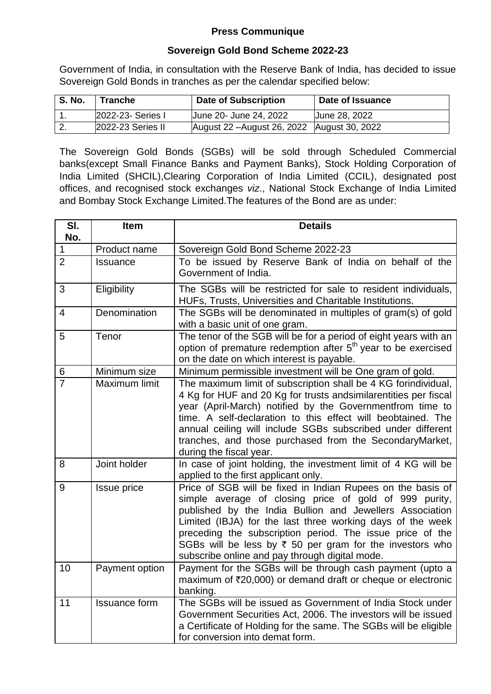## **Press Communique**

## **Sovereign Gold Bond Scheme 2022-23**

Government of India, in consultation with the Reserve Bank of India, has decided to issue Sovereign Gold Bonds in tranches as per the calendar specified below:

| <b>S. No.</b> | Tranche           | <b>Date of Subscription</b>                   | Date of Issuance |
|---------------|-------------------|-----------------------------------------------|------------------|
|               | 2022-23- Series I | June 20- June 24, 2022                        | Uune 28, 2022    |
| <u>.</u>      | 2022-23 Series II | August 22 - August 26, 2022   August 30, 2022 |                  |

The Sovereign Gold Bonds (SGBs) will be sold through Scheduled Commercial banks(except Small Finance Banks and Payment Banks), Stock Holding Corporation of India Limited (SHCIL),Clearing Corporation of India Limited (CCIL), designated post offices, and recognised stock exchanges *viz*., National Stock Exchange of India Limited and Bombay Stock Exchange Limited.The features of the Bond are as under:

| SI.<br>No.     | <b>Item</b>          | <b>Details</b>                                                                                                                                                                                                                                                                                                                                                                                                                        |
|----------------|----------------------|---------------------------------------------------------------------------------------------------------------------------------------------------------------------------------------------------------------------------------------------------------------------------------------------------------------------------------------------------------------------------------------------------------------------------------------|
| $\mathbf 1$    | Product name         | Sovereign Gold Bond Scheme 2022-23                                                                                                                                                                                                                                                                                                                                                                                                    |
| $\overline{2}$ | <b>Issuance</b>      | To be issued by Reserve Bank of India on behalf of the<br>Government of India.                                                                                                                                                                                                                                                                                                                                                        |
| 3              | Eligibility          | The SGBs will be restricted for sale to resident individuals,<br>HUFs, Trusts, Universities and Charitable Institutions.                                                                                                                                                                                                                                                                                                              |
| $\overline{4}$ | Denomination         | The SGBs will be denominated in multiples of gram(s) of gold<br>with a basic unit of one gram.                                                                                                                                                                                                                                                                                                                                        |
| 5              | Tenor                | The tenor of the SGB will be for a period of eight years with an<br>option of premature redemption after 5 <sup>th</sup> year to be exercised<br>on the date on which interest is payable.                                                                                                                                                                                                                                            |
| 6              | Minimum size         | Minimum permissible investment will be One gram of gold.                                                                                                                                                                                                                                                                                                                                                                              |
| $\overline{7}$ | Maximum limit        | The maximum limit of subscription shall be 4 KG forindividual,<br>4 Kg for HUF and 20 Kg for trusts and similarentities per fiscal<br>year (April-March) notified by the Governmentfrom time to<br>time. A self-declaration to this effect will beobtained. The<br>annual ceiling will include SGBs subscribed under different<br>tranches, and those purchased from the SecondaryMarket,<br>during the fiscal year.                  |
| 8              | Joint holder         | In case of joint holding, the investment limit of 4 KG will be<br>applied to the first applicant only.                                                                                                                                                                                                                                                                                                                                |
| 9              | Issue price          | Price of SGB will be fixed in Indian Rupees on the basis of<br>simple average of closing price of gold of 999 purity,<br>published by the India Bullion and Jewellers Association<br>Limited (IBJA) for the last three working days of the week<br>preceding the subscription period. The issue price of the<br>SGBs will be less by $\bar{\tau}$ 50 per gram for the investors who<br>subscribe online and pay through digital mode. |
| 10             | Payment option       | Payment for the SGBs will be through cash payment (upto a<br>maximum of ₹20,000) or demand draft or cheque or electronic<br>banking.                                                                                                                                                                                                                                                                                                  |
| 11             | <b>Issuance form</b> | The SGBs will be issued as Government of India Stock under<br>Government Securities Act, 2006. The investors will be issued<br>a Certificate of Holding for the same. The SGBs will be eligible<br>for conversion into demat form.                                                                                                                                                                                                    |